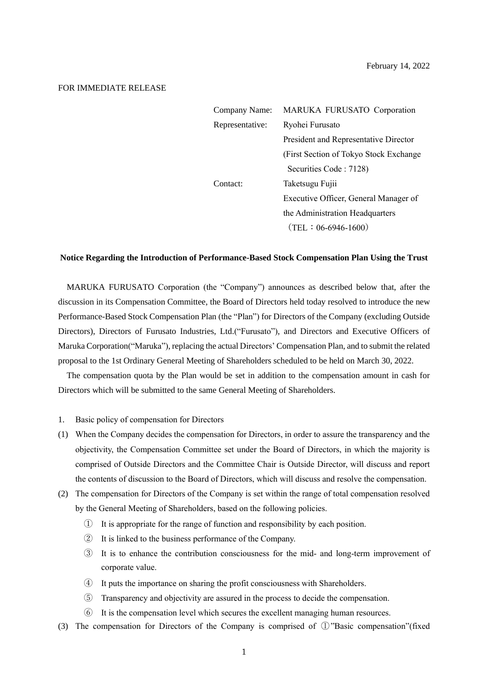## FOR IMMEDIATE RELEASE

| <b>Company Name:</b> | MARUKA FURUSATO Corporation             |  |
|----------------------|-----------------------------------------|--|
| Representative:      | Ryohei Furusato                         |  |
|                      | President and Representative Director   |  |
|                      | (First Section of Tokyo Stock Exchange) |  |
|                      | Securities Code: 7128)                  |  |
| Contact:             | Taketsugu Fujii                         |  |
|                      | Executive Officer, General Manager of   |  |
|                      | the Administration Headquarters         |  |
|                      | $(TEL: 06-6946-1600)$                   |  |

#### **Notice Regarding the Introduction of Performance-Based Stock Compensation Plan Using the Trust**

MARUKA FURUSATO Corporation (the "Company") announces as described below that, after the discussion in its Compensation Committee, the Board of Directors held today resolved to introduce the new Performance-Based Stock Compensation Plan (the "Plan") for Directors of the Company (excluding Outside Directors), Directors of Furusato Industries, Ltd.("Furusato"), and Directors and Executive Officers of Maruka Corporation("Maruka"), replacing the actual Directors' Compensation Plan, and to submit the related proposal to the 1st Ordinary General Meeting of Shareholders scheduled to be held on March 30, 2022.

The compensation quota by the Plan would be set in addition to the compensation amount in cash for Directors which will be submitted to the same General Meeting of Shareholders.

#### 1. Basic policy of compensation for Directors

- (1) When the Company decides the compensation for Directors, in order to assure the transparency and the objectivity, the Compensation Committee set under the Board of Directors, in which the majority is comprised of Outside Directors and the Committee Chair is Outside Director, will discuss and report the contents of discussion to the Board of Directors, which will discuss and resolve the compensation.
- (2) The compensation for Directors of the Company is set within the range of total compensation resolved by the General Meeting of Shareholders, based on the following policies.
	- ① It is appropriate for the range of function and responsibility by each position.
	- ② It is linked to the business performance of the Company.
	- ③ It is to enhance the contribution consciousness for the mid- and long-term improvement of corporate value.
	- ④ It puts the importance on sharing the profit consciousness with Shareholders.
	- ⑤ Transparency and objectivity are assured in the process to decide the compensation.
	- ⑥ It is the compensation level which secures the excellent managing human resources.
- (3) The compensation for Directors of the Company is comprised of ①"Basic compensation"(fixed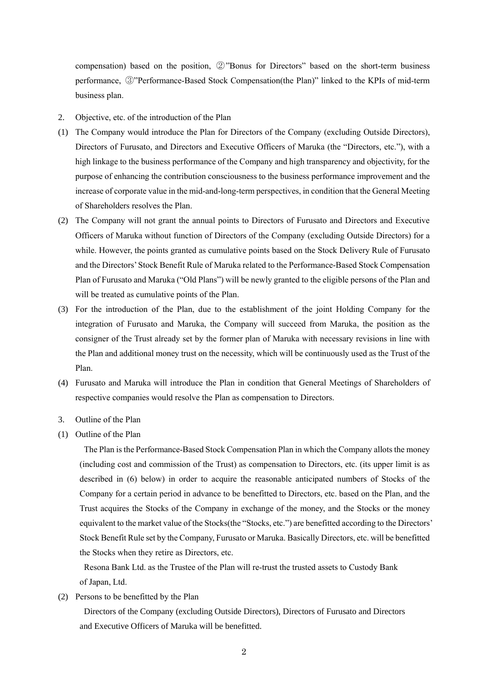compensation) based on the position, ②"Bonus for Directors" based on the short-term business performance, ③"Performance-Based Stock Compensation(the Plan)" linked to the KPIs of mid-term business plan.

- 2. Objective, etc. of the introduction of the Plan
- (1) The Company would introduce the Plan for Directors of the Company (excluding Outside Directors), Directors of Furusato, and Directors and Executive Officers of Maruka (the "Directors, etc."), with a high linkage to the business performance of the Company and high transparency and objectivity, for the purpose of enhancing the contribution consciousness to the business performance improvement and the increase of corporate value in the mid-and-long-term perspectives, in condition that the General Meeting of Shareholders resolves the Plan.
- (2) The Company will not grant the annual points to Directors of Furusato and Directors and Executive Officers of Maruka without function of Directors of the Company (excluding Outside Directors) for a while. However, the points granted as cumulative points based on the Stock Delivery Rule of Furusato and the Directors' Stock Benefit Rule of Maruka related to the Performance-Based Stock Compensation Plan of Furusato and Maruka ("Old Plans") will be newly granted to the eligible persons of the Plan and will be treated as cumulative points of the Plan.
- (3) For the introduction of the Plan, due to the establishment of the joint Holding Company for the integration of Furusato and Maruka, the Company will succeed from Maruka, the position as the consigner of the Trust already set by the former plan of Maruka with necessary revisions in line with the Plan and additional money trust on the necessity, which will be continuously used as the Trust of the Plan.
- (4) Furusato and Maruka will introduce the Plan in condition that General Meetings of Shareholders of respective companies would resolve the Plan as compensation to Directors.
- 3. Outline of the Plan
- (1) Outline of the Plan

The Plan is the Performance-Based Stock Compensation Plan in which the Company allots the money (including cost and commission of the Trust) as compensation to Directors, etc. (its upper limit is as described in (6) below) in order to acquire the reasonable anticipated numbers of Stocks of the Company for a certain period in advance to be benefitted to Directors, etc. based on the Plan, and the Trust acquires the Stocks of the Company in exchange of the money, and the Stocks or the money equivalent to the market value of the Stocks(the "Stocks, etc.") are benefitted according to the Directors' Stock Benefit Rule set by the Company, Furusato or Maruka. Basically Directors, etc. will be benefitted the Stocks when they retire as Directors, etc.

Resona Bank Ltd. as the Trustee of the Plan will re-trust the trusted assets to Custody Bank of Japan, Ltd.

(2) Persons to be benefitted by the Plan

Directors of the Company (excluding Outside Directors), Directors of Furusato and Directors and Executive Officers of Maruka will be benefitted.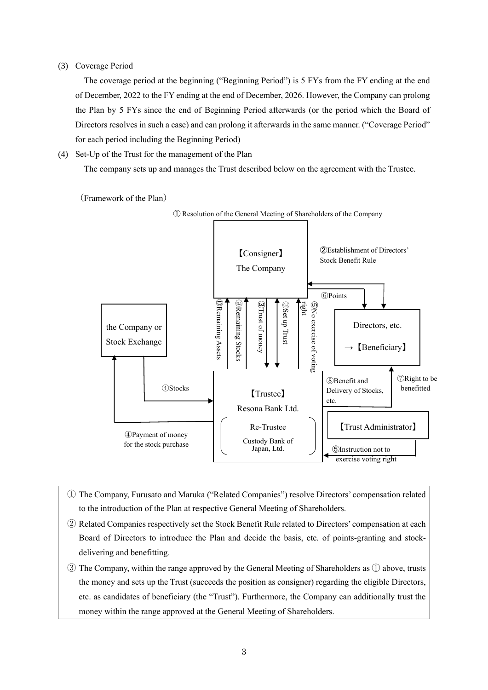## (3) Coverage Period

The coverage period at the beginning ("Beginning Period") is 5 FYs from the FY ending at the end of December, 2022 to the FY ending at the end of December, 2026. However, the Company can prolong the Plan by 5 FYs since the end of Beginning Period afterwards (or the period which the Board of Directors resolves in such a case) and can prolong it afterwards in the same manner. ("Coverage Period" for each period including the Beginning Period)

## (4) Set-Up of the Trust for the management of the Plan

The company sets up and manages the Trust described below on the agreement with the Trustee.

(Framework of the Plan)



- ① The Company, Furusato and Maruka ("Related Companies") resolve Directors' compensation related to the introduction of the Plan at respective General Meeting of Shareholders.
- ② Related Companies respectively set the Stock Benefit Rule related to Directors' compensation at each Board of Directors to introduce the Plan and decide the basis, etc. of points-granting and stockdelivering and benefitting.
- ③ The Company, within the range approved by the General Meeting of Shareholders as ① above, trusts the money and sets up the Trust (succeeds the position as consigner) regarding the eligible Directors, etc. as candidates of beneficiary (the "Trust"). Furthermore, the Company can additionally trust the money within the range approved at the General Meeting of Shareholders.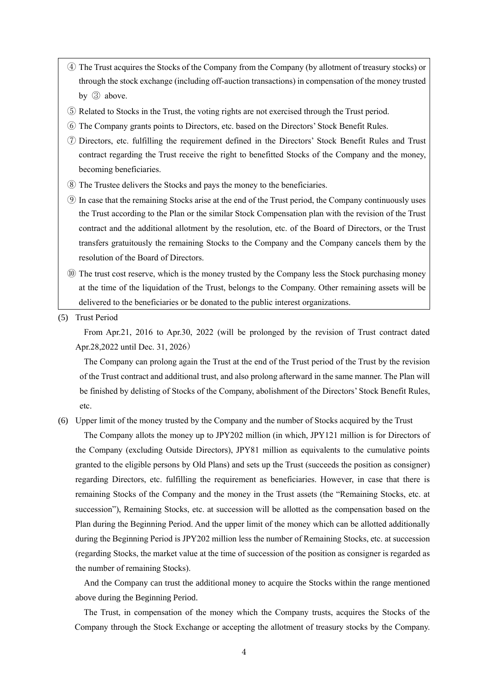- ④ The Trust acquires the Stocks of the Company from the Company (by allotment of treasury stocks) or through the stock exchange (including off-auction transactions) in compensation of the money trusted by ③ above.
- ⑤ Related to Stocks in the Trust, the voting rights are not exercised through the Trust period.
- ⑥ The Company grants points to Directors, etc. based on the Directors' Stock Benefit Rules.
- ⑦ Directors, etc. fulfilling the requirement defined in the Directors' Stock Benefit Rules and Trust contract regarding the Trust receive the right to benefitted Stocks of the Company and the money, becoming beneficiaries.
- ⑧ The Trustee delivers the Stocks and pays the money to the beneficiaries.
- ⑨ In case that the remaining Stocks arise at the end of the Trust period, the Company continuously uses the Trust according to the Plan or the similar Stock Compensation plan with the revision of the Trust contract and the additional allotment by the resolution, etc. of the Board of Directors, or the Trust transfers gratuitously the remaining Stocks to the Company and the Company cancels them by the resolution of the Board of Directors.
- ⑩ The trust cost reserve, which is the money trusted by the Company less the Stock purchasing money at the time of the liquidation of the Trust, belongs to the Company. Other remaining assets will be delivered to the beneficiaries or be donated to the public interest organizations.
- (5) Trust Period

From Apr.21, 2016 to Apr.30, 2022 (will be prolonged by the revision of Trust contract dated Apr.28,2022 until Dec. 31, 2026)

The Company can prolong again the Trust at the end of the Trust period of the Trust by the revision of the Trust contract and additional trust, and also prolong afterward in the same manner. The Plan will be finished by delisting of Stocks of the Company, abolishment of the Directors' Stock Benefit Rules, etc.

(6) Upper limit of the money trusted by the Company and the number of Stocks acquired by the Trust

The Company allots the money up to JPY202 million (in which, JPY121 million is for Directors of the Company (excluding Outside Directors), JPY81 million as equivalents to the cumulative points granted to the eligible persons by Old Plans) and sets up the Trust (succeeds the position as consigner) regarding Directors, etc. fulfilling the requirement as beneficiaries. However, in case that there is remaining Stocks of the Company and the money in the Trust assets (the "Remaining Stocks, etc. at succession"), Remaining Stocks, etc. at succession will be allotted as the compensation based on the Plan during the Beginning Period. And the upper limit of the money which can be allotted additionally during the Beginning Period is JPY202 million less the number of Remaining Stocks, etc. at succession (regarding Stocks, the market value at the time of succession of the position as consigner is regarded as the number of remaining Stocks).

And the Company can trust the additional money to acquire the Stocks within the range mentioned above during the Beginning Period.

The Trust, in compensation of the money which the Company trusts, acquires the Stocks of the Company through the Stock Exchange or accepting the allotment of treasury stocks by the Company.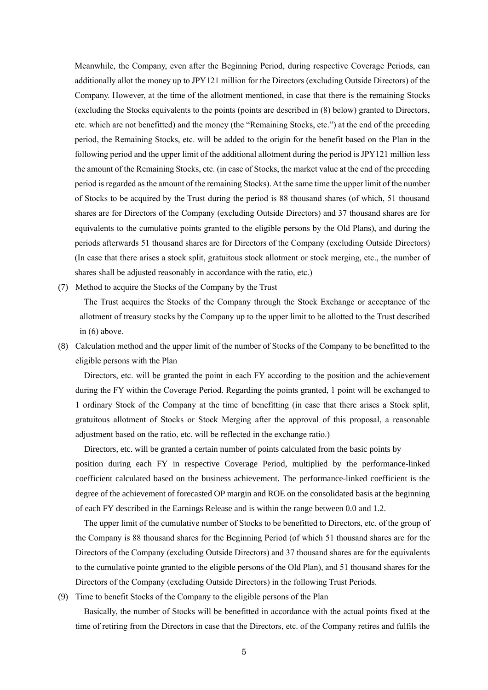Meanwhile, the Company, even after the Beginning Period, during respective Coverage Periods, can additionally allot the money up to JPY121 million for the Directors (excluding Outside Directors) of the Company. However, at the time of the allotment mentioned, in case that there is the remaining Stocks (excluding the Stocks equivalents to the points (points are described in (8) below) granted to Directors, etc. which are not benefitted) and the money (the "Remaining Stocks, etc.") at the end of the preceding period, the Remaining Stocks, etc. will be added to the origin for the benefit based on the Plan in the following period and the upper limit of the additional allotment during the period is JPY121 million less the amount of the Remaining Stocks, etc. (in case of Stocks, the market value at the end of the preceding period isregarded as the amount of the remaining Stocks). At the same time the upper limit of the number of Stocks to be acquired by the Trust during the period is 88 thousand shares (of which, 51 thousand shares are for Directors of the Company (excluding Outside Directors) and 37 thousand shares are for equivalents to the cumulative points granted to the eligible persons by the Old Plans), and during the periods afterwards 51 thousand shares are for Directors of the Company (excluding Outside Directors) (In case that there arises a stock split, gratuitous stock allotment or stock merging, etc., the number of shares shall be adjusted reasonably in accordance with the ratio, etc.)

(7) Method to acquire the Stocks of the Company by the Trust

The Trust acquires the Stocks of the Company through the Stock Exchange or acceptance of the allotment of treasury stocks by the Company up to the upper limit to be allotted to the Trust described in (6) above.

(8) Calculation method and the upper limit of the number of Stocks of the Company to be benefitted to the eligible persons with the Plan

Directors, etc. will be granted the point in each FY according to the position and the achievement during the FY within the Coverage Period. Regarding the points granted, 1 point will be exchanged to 1 ordinary Stock of the Company at the time of benefitting (in case that there arises a Stock split, gratuitous allotment of Stocks or Stock Merging after the approval of this proposal, a reasonable adjustment based on the ratio, etc. will be reflected in the exchange ratio.)

Directors, etc. will be granted a certain number of points calculated from the basic points by position during each FY in respective Coverage Period, multiplied by the performance-linked coefficient calculated based on the business achievement. The performance-linked coefficient is the degree of the achievement of forecasted OP margin and ROE on the consolidated basis at the beginning of each FY described in the Earnings Release and is within the range between 0.0 and 1.2.

The upper limit of the cumulative number of Stocks to be benefitted to Directors, etc. of the group of the Company is 88 thousand shares for the Beginning Period (of which 51 thousand shares are for the Directors of the Company (excluding Outside Directors) and 37 thousand shares are for the equivalents to the cumulative pointe granted to the eligible persons of the Old Plan), and 51 thousand shares for the Directors of the Company (excluding Outside Directors) in the following Trust Periods.

(9) Time to benefit Stocks of the Company to the eligible persons of the Plan

Basically, the number of Stocks will be benefitted in accordance with the actual points fixed at the time of retiring from the Directors in case that the Directors, etc. of the Company retires and fulfils the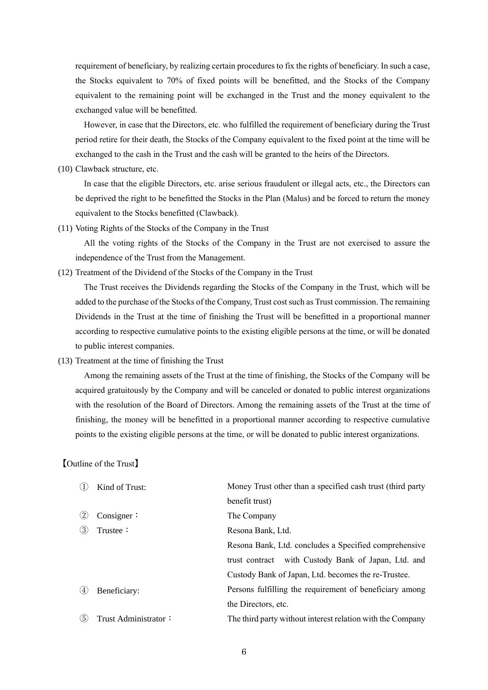requirement of beneficiary, by realizing certain procedures to fix the rights of beneficiary. In such a case, the Stocks equivalent to 70% of fixed points will be benefitted, and the Stocks of the Company equivalent to the remaining point will be exchanged in the Trust and the money equivalent to the exchanged value will be benefitted.

However, in case that the Directors, etc. who fulfilled the requirement of beneficiary during the Trust period retire for their death, the Stocks of the Company equivalent to the fixed point at the time will be exchanged to the cash in the Trust and the cash will be granted to the heirs of the Directors.

(10) Clawback structure, etc.

In case that the eligible Directors, etc. arise serious fraudulent or illegal acts, etc., the Directors can be deprived the right to be benefitted the Stocks in the Plan (Malus) and be forced to return the money equivalent to the Stocks benefitted (Clawback).

(11) Voting Rights of the Stocks of the Company in the Trust

All the voting rights of the Stocks of the Company in the Trust are not exercised to assure the independence of the Trust from the Management.

(12) Treatment of the Dividend of the Stocks of the Company in the Trust

The Trust receives the Dividends regarding the Stocks of the Company in the Trust, which will be added to the purchase of the Stocks of the Company, Trust cost such as Trust commission. The remaining Dividends in the Trust at the time of finishing the Trust will be benefitted in a proportional manner according to respective cumulative points to the existing eligible persons at the time, or will be donated to public interest companies.

(13) Treatment at the time of finishing the Trust

Among the remaining assets of the Trust at the time of finishing, the Stocks of the Company will be acquired gratuitously by the Company and will be canceled or donated to public interest organizations with the resolution of the Board of Directors. Among the remaining assets of the Trust at the time of finishing, the money will be benefitted in a proportional manner according to respective cumulative points to the existing eligible persons at the time, or will be donated to public interest organizations.

# 【Outline of the Trust】

|     | Kind of Trust:       | Money Trust other than a specified cash trust (third party |
|-----|----------------------|------------------------------------------------------------|
|     |                      | benefit trust)                                             |
|     | Consigner $\colon$   | The Company                                                |
| (3) | Trustee:             | Resona Bank, Ltd.                                          |
|     |                      | Resona Bank, Ltd. concludes a Specified comprehensive      |
|     |                      | trust contract with Custody Bank of Japan, Ltd. and        |
|     |                      | Custody Bank of Japan, Ltd. becomes the re-Trustee.        |
| (4) | Beneficiary:         | Persons fulfilling the requirement of beneficiary among    |
|     |                      | the Directors, etc.                                        |
| (5  | Trust Administrator: | The third party without interest relation with the Company |